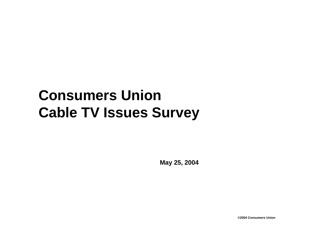# **Consumers Union Cable TV Issues Survey**

**May 25, 2004**

**©2004 Consumers Union**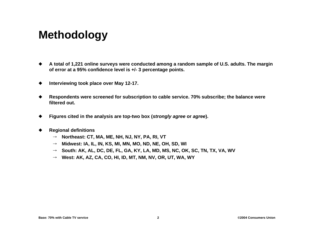## **Methodology**

- u **A total of 1,221 online surveys were conducted among a random sample of U.S. adults. The margin of error at a 95% confidence level is +/- 3 percentage points.**
- ◆ Interviewing took place over May 12-17.
- u **Respondents were screened for subscription to cable service. 70% subscribe; the balance were filtered out.**
- u **Figures cited in the analysis are top-two box (***strongly agree* **or** *agree***).**
- **Regional definitions** 
	- → Northeast: CT, MA, ME, NH, NJ, NY, PA, RI, VT
	- $\rightarrow$  Midwest: IA, IL, IN, KS, MI, MN, MO, ND, NE, OH, SD, WI
	- $\rightarrow$  South: AK, AL, DC, DE, FL, GA, KY, LA, MD, MS, NC, OK, SC, TN, TX, VA, WV
	- $\rightarrow$  West: AK, AZ, CA, CO, HI, ID, MT, NM, NV, OR, UT, WA, WY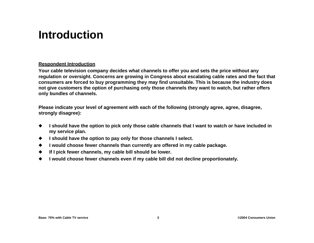### **Introduction**

#### **Respondent Introduction**

**Your cable television company decides what channels to offer you and sets the price without any regulation or oversight. Concerns are growing in Congress about escalating cable rates and the fact that consumers are forced to buy programming they may find unsuitable. This is because the industry does not give customers the option of purchasing only those channels they want to watch, but rather offers only bundles of channels.**

**Please indicate your level of agreement with each of the following (strongly agree, agree, disagree, strongly disagree):**

- ◆ I should have the option to pick only those cable channels that I want to watch or have included in **my service plan.**
- u **I should have the option to pay only for those channels I select.**
- ◆ I would choose fewer channels than currently are offered in my cable package.
- ◆ If I pick fewer channels, my cable bill should be lower.
- u **I would choose fewer channels even if my cable bill did not decline proportionately.**